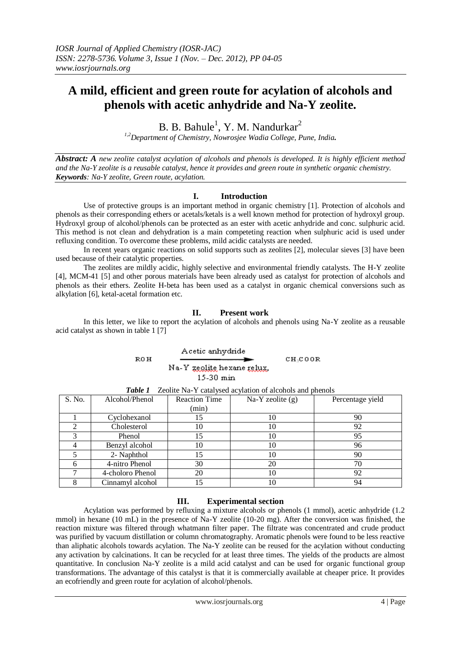# **A mild, efficient and green route for acylation of alcohols and phenols with acetic anhydride and Na-Y zeolite.**

B. B. Bahule<sup>1</sup>, Y. M. Nandurkar<sup>2</sup>

*1,2Department of Chemistry, Nowrosjee Wadia College, Pune, India.*

*Abstract: A new zeolite catalyst acylation of alcohols and phenols is developed. It is highly efficient method and the Na-Y zeolite is a reusable catalyst, hence it provides and green route in synthetic organic chemistry. Keywords: Na-Y zeolite, Green route, acylation.*

## **I. Introduction**

Use of protective groups is an important method in organic chemistry [1]. Protection of alcohols and phenols as their corresponding ethers or acetals/ketals is a well known method for protection of hydroxyl group. Hydroxyl group of alcohol/phenols can be protected as an ester with acetic anhydride and conc. sulphuric acid. This method is not clean and dehydration is a main competeting reaction when sulphuric acid is used under refluxing condition. To overcome these problems, mild acidic catalysts are needed.

In recent years organic reactions on solid supports such as zeolites [2], molecular sieves [3] have been used because of their catalytic properties.

The zeolites are mildly acidic, highly selective and environmental friendly catalysts. The H-Y zeolite [4], MCM-41 [5] and other porous materials have been already used as catalyst for protection of alcohols and phenols as their ethers. Zeolite H-beta has been used as a catalyst in organic chemical conversions such as alkylation [6], ketal-acetal formation etc.

## **II. Present work**

In this letter, we like to report the acylation of alcohols and phenols using Na-Y zeolite as a reusable acid catalyst as shown in table 1 [7]

> Acetic anhydride **ROH**  $CH<sub>3</sub>COOR$ Na-Y zeolite hexane relux. 15-30 min

| S. No. | Alcohol/Phenol   | <b>Reaction Time</b> | $Na-Y$ zeolite $(g)$ | Percentage yield |
|--------|------------------|----------------------|----------------------|------------------|
|        |                  | (min)                |                      |                  |
|        | Cyclohexanol     | 15                   | 10                   | 90               |
|        | Cholesterol      | 10                   | 10                   | 92               |
|        | Phenol           | 15                   | 10                   | 95               |
|        | Benzyl alcohol   | 10                   | 10                   | 96               |
|        | 2- Naphthol      | 15                   | 10                   | 90               |
|        | 4-nitro Phenol   | 30                   | 20                   | 70               |
|        | 4-choloro Phenol | 20                   | 10                   | 92               |
|        | Cinnamyl alcohol | 15                   | 10                   | 94               |

*Table 1* Zeolite Na-Y catalysed acylation of alcohols and phenols

## **III. Experimental section**

Acylation was performed by refluxing a mixture alcohols or phenols (1 mmol), acetic anhydride (1.2 mmol) in hexane (10 mL) in the presence of Na-Y zeolite (10-20 mg). After the conversion was finished, the reaction mixture was filtered through whatmann filter paper. The filtrate was concentrated and crude product was purified by vacuum distillation or column chromatography. Aromatic phenols were found to be less reactive than aliphatic alcohols towards acylation. The Na-Y zeolite can be reused for the acylation without conducting any activation by calcinations. It can be recycled for at least three times. The yields of the products are almost quantitative. In conclusion Na-Y zeolite is a mild acid catalyst and can be used for organic functional group transformations. The advantage of this catalyst is that it is commercially available at cheaper price. It provides an ecofriendly and green route for acylation of alcohol/phenols.